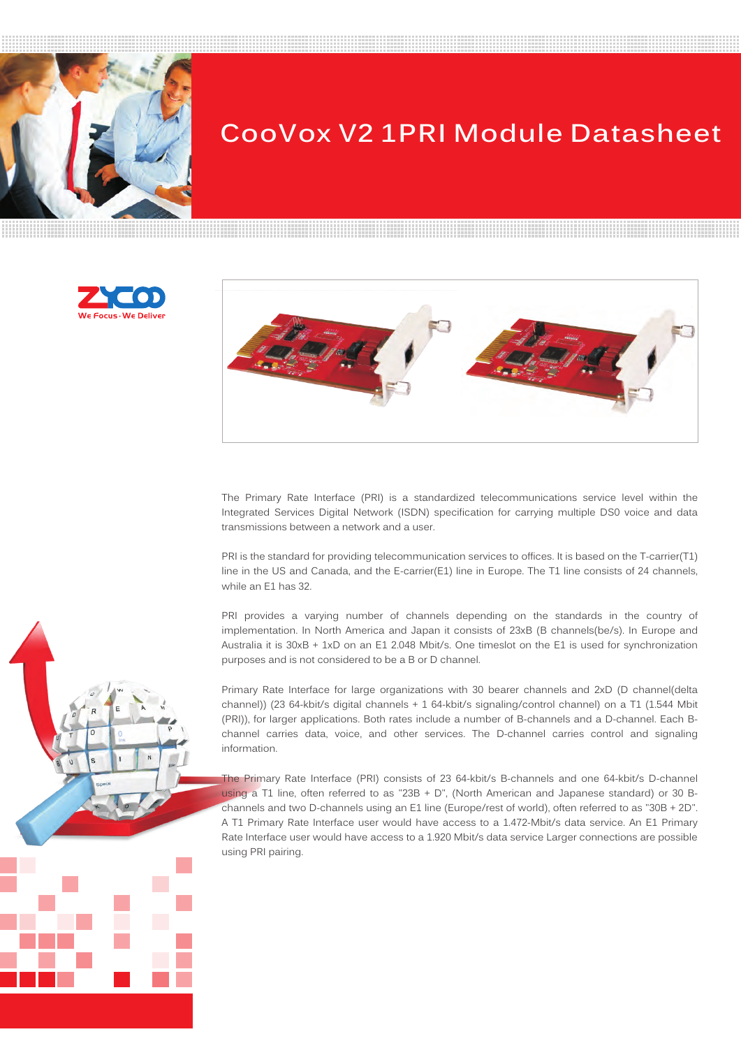

# **CooVox V2 1PRI Module Datasheet**





The Primary Rate Interface (PRI) is a standardized telecommunications service level within the Integrated Services Digital Network (ISDN) specification for carrying multiple DS0 voice and data transmissions between a network and a user.

PRI is the standard for providing telecommunication services to offices. It is based on the T-carrier(T1) line in the US and Canada, and the E-carrier(E1) line in Europe. The T1 line consists of 24 channels, while an E1 has 32.

PRI provides a varying number of channels depending on the standards in the country of implementation. In North America and Japan it consists of 23xB (B channels(be/s). In Europe and Australia it is 30xB + 1xD on an E1 2.048 Mbit/s. One timeslot on the E1 is used for synchronization purposes and is not considered to be a B or D channel.

Primary Rate Interface for large organizations with 30 bearer channels and 2xD (D channel(delta channel)) (23 64-kbit/s digital channels + 1 64-kbit/s signaling/control channel) on a T1 (1.544 Mbit (PRI)), for larger applications. Both rates include a number of B-channels and a D-channel. Each Bchannel carries data, voice, and other services. The D-channel carries control and signaling information.

The Primary Rate Interface (PRI) consists of 23 64-kbit/s B-channels and one 64-kbit/s D-channel using a T1 line, often referred to as "23B + D", (North American and Japanese standard) or 30 Bchannels and two D-channels using an E1 line (Europe/rest of world), often referred to as "30B + 2D". A T1 Primary Rate Interface user would have access to a 1.472-Mbit/s data service. An E1 Primary Rate Interface user would have access to a 1.920 Mbit/s data service Larger connections are possible using PRI pairing.